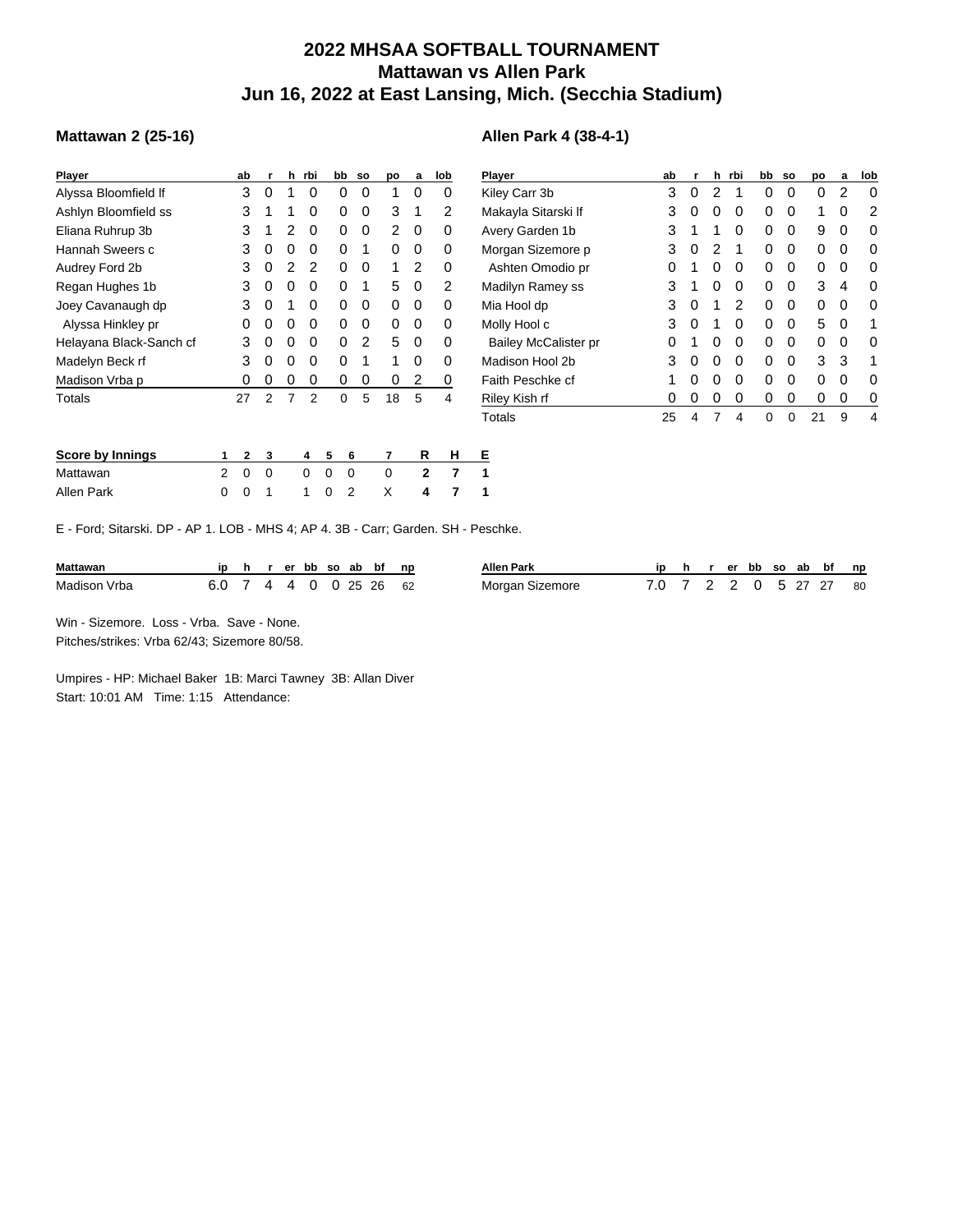## **2022 MHSAA SOFTBALL TOURNAMENT Mattawan vs Allen Park Jun 16, 2022 at East Lansing, Mich. (Secchia Stadium)**

**Allen Park 4 (38-4-1)**

## **Mattawan 2 (25-16)**

| Player                  | ab | r | h | rbi | bb | <b>SO</b> | po | a | lob |
|-------------------------|----|---|---|-----|----|-----------|----|---|-----|
| Alyssa Bloomfield If    | 3  | 0 | 1 | 0   | 0  | 0         | 1  | 0 | 0   |
| Ashlyn Bloomfield ss    | 3  | 1 | 1 | 0   | 0  | 0         | 3  | 1 | 2   |
| Eliana Ruhrup 3b        | 3  | 1 | 2 | 0   | 0  | 0         | 2  | 0 | 0   |
| Hannah Sweers c         | 3  | 0 | 0 | 0   | 0  | 1         | 0  | 0 | 0   |
| Audrey Ford 2b          | 3  | 0 | 2 | 2   | 0  | 0         | 1  | 2 | 0   |
| Regan Hughes 1b         | 3  | 0 | 0 | 0   | 0  | 1         | 5  | 0 | 2   |
| Joey Cavanaugh dp       | 3  | 0 | 1 | 0   | 0  | 0         | 0  | 0 | 0   |
| Alyssa Hinkley pr       | 0  | 0 | 0 | 0   | 0  | 0         | 0  | 0 | 0   |
| Helayana Black-Sanch cf | 3  | 0 | 0 | 0   | 0  | 2         | 5  | 0 | 0   |
| Madelyn Beck rf         | 3  | 0 | 0 | 0   | 0  | 1         | 1  | 0 | 0   |
| Madison Vrba p          | 0  | 0 | 0 | 0   | 0  | 0         | 0  | 2 | 0   |
| Totals                  | 27 | 2 | 7 | 2   | 0  | 5         | 18 | 5 | 4   |
|                         |    |   |   |     |    |           |    |   |     |
|                         |    |   |   |     |    |           |    |   |     |

| Player                      | ab | r | h | rbi | bb | <b>SO</b> | po | a | lob |
|-----------------------------|----|---|---|-----|----|-----------|----|---|-----|
| Kiley Carr 3b               | 3  | 0 | 2 | 1   | 0  | 0         | 0  | 2 | 0   |
| Makayla Sitarski If         | 3  | 0 | 0 | 0   | 0  | 0         | 1  | 0 | 2   |
| Avery Garden 1b             | 3  | 1 | 1 | 0   | 0  | 0         | 9  | 0 | 0   |
| Morgan Sizemore p           | 3  | 0 | 2 | 1   | 0  | 0         | 0  | 0 | 0   |
| Ashten Omodio pr            | 0  | 1 | 0 | 0   | 0  | 0         | 0  | 0 | 0   |
| Madilyn Ramey ss            | 3  | 1 | 0 | 0   | 0  | 0         | 3  | 4 | O   |
| Mia Hool dp                 | 3  | 0 | 1 | 2   | 0  | 0         | 0  | 0 | 0   |
| Molly Hool c                | 3  | 0 | 1 | 0   | 0  | 0         | 5  | 0 | 1   |
| <b>Bailey McCalister pr</b> | 0  | 1 | 0 | 0   | 0  | 0         | 0  | 0 | 0   |
| Madison Hool 2b             | 3  | 0 | 0 | 0   | 0  | 0         | 3  | 3 | 1   |
| Faith Peschke cf            | 1  | 0 | 0 | 0   | 0  | 0         | 0  | 0 | O   |
| Riley Kish rf               | Ω  | 0 | 0 | 0   | 0  | 0         | 0  | 0 | 0   |
| Totals                      | 25 | 4 | 7 | 4   | 0  | 0         | 21 | 9 | 4   |

| Score by Innings |  |  |  | 1 2 3 4 5 6 7            | R | H E |  |
|------------------|--|--|--|--------------------------|---|-----|--|
| Mattawan         |  |  |  | 2 0 0 0 0 0 0 2 7 1      |   |     |  |
| Allen Park       |  |  |  | 0 0 1 1 0 2 $\chi$ 4 7 1 |   |     |  |

E - Ford; Sitarski. DP - AP 1. LOB - MHS 4; AP 4. 3B - Carr; Garden. SH - Peschke.

| <b>Mattawan</b> |                        |  |  |  | hrerbbsoabbfnp | Allen Park      |                        |  |  |  | r er bb so ab bf np |  |
|-----------------|------------------------|--|--|--|----------------|-----------------|------------------------|--|--|--|---------------------|--|
| Madison Vrba    | 6.0 7 4 4 0 0 25 26 62 |  |  |  |                | Morgan Sizemore | 7.0 7 2 2 0 5 27 27 80 |  |  |  |                     |  |

Win - Sizemore. Loss - Vrba. Save - None. Pitches/strikes: Vrba 62/43; Sizemore 80/58.

Umpires - HP: Michael Baker 1B: Marci Tawney 3B: Allan Diver Start: 10:01 AM Time: 1:15 Attendance: